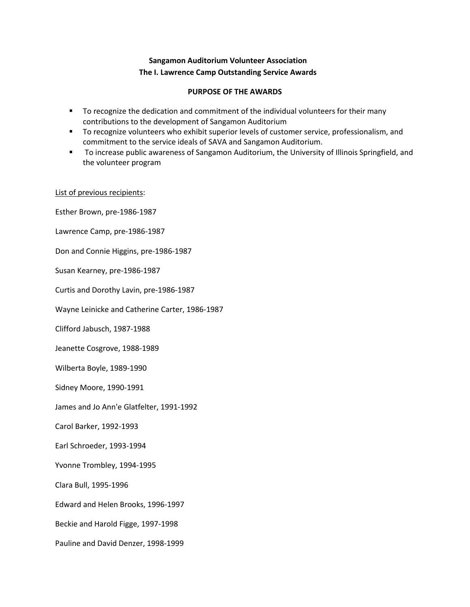## **Sangamon Auditorium Volunteer Association The I. Lawrence Camp Outstanding Service Awards**

## **PURPOSE OF THE AWARDS**

- To recognize the dedication and commitment of the individual volunteers for their many contributions to the development of Sangamon Auditorium
- **The Form 20 To recognize volunteers who exhibit superior levels of customer service, professionalism, and** commitment to the service ideals of SAVA and Sangamon Auditorium.
- To increase public awareness of Sangamon Auditorium, the University of Illinois Springfield, and the volunteer program

## List of previous recipients:

Esther Brown, pre-1986-1987 Lawrence Camp, pre-1986-1987 Don and Connie Higgins, pre-1986-1987 Susan Kearney, pre-1986-1987 Curtis and Dorothy Lavin, pre-1986-1987 Wayne Leinicke and Catherine Carter, 1986-1987 Clifford Jabusch, 1987-1988 Jeanette Cosgrove, 1988-1989 Wilberta Boyle, 1989-1990 Sidney Moore, 1990-1991 James and Jo Ann'e Glatfelter, 1991-1992 Carol Barker, 1992-1993 Earl Schroeder, 1993-1994 Yvonne Trombley, 1994-1995 Clara Bull, 1995-1996 Edward and Helen Brooks, 1996-1997 Beckie and Harold Figge, 1997-1998 Pauline and David Denzer, 1998-1999